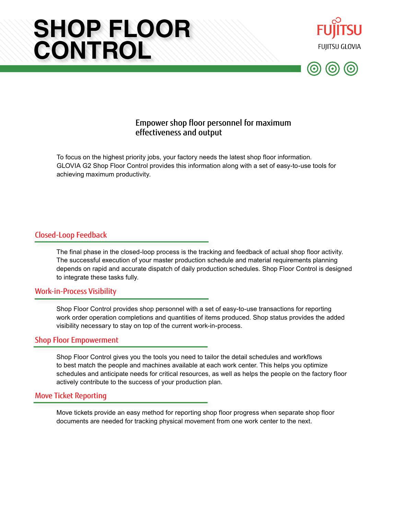# **SHOP FLOOR CONTROL**





# Empower shop floor personnel for maximum effectiveness and output

To focus on the highest priority jobs, your factory needs the latest shop floor information. GLOVIA G2 Shop Floor Control provides this information along with a set of easy-to-use tools for achieving maximum productivity.

#### Closed-Loop Feedback

The final phase in the closed-loop process is the tracking and feedback of actual shop floor activity. The successful execution of your master production schedule and material requirements planning depends on rapid and accurate dispatch of daily production schedules. Shop Floor Control is designed to integrate these tasks fully.

#### Work-in-Process Visibility

Shop Floor Control provides shop personnel with a set of easy-to-use transactions for reporting work order operation completions and quantities of items produced. Shop status provides the added visibility necessary to stay on top of the current work-in-process.

#### Shop Floor Empowerment

Shop Floor Control gives you the tools you need to tailor the detail schedules and workflows to best match the people and machines available at each work center. This helps you optimize schedules and anticipate needs for critical resources, as well as helps the people on the factory floor actively contribute to the success of your production plan.

#### Move Ticket Reporting

Move tickets provide an easy method for reporting shop floor progress when separate shop floor documents are needed for tracking physical movement from one work center to the next.